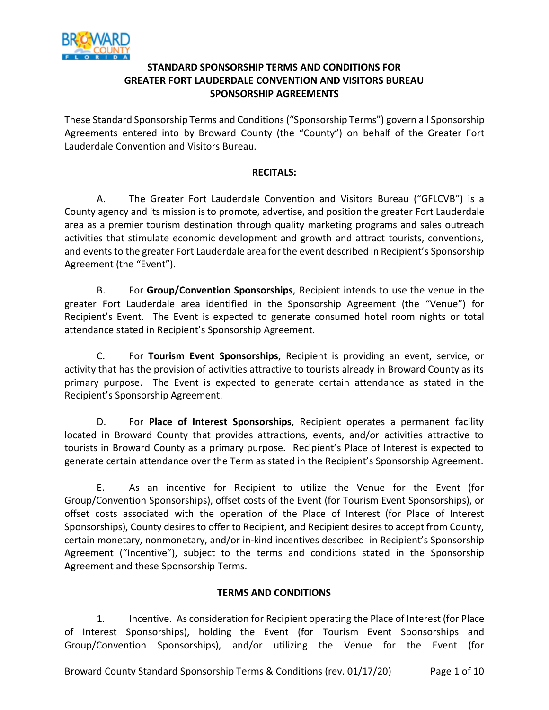

## **STANDARD SPONSORSHIP TERMS AND CONDITIONS FOR GREATER FORT LAUDERDALE CONVENTION AND VISITORS BUREAU SPONSORSHIP AGREEMENTS**

These Standard Sponsorship Terms and Conditions ("Sponsorship Terms") govern all Sponsorship Agreements entered into by Broward County (the "County") on behalf of the Greater Fort Lauderdale Convention and Visitors Bureau.

## **RECITALS:**

A. The Greater Fort Lauderdale Convention and Visitors Bureau ("GFLCVB") is a County agency and its mission is to promote, advertise, and position the greater Fort Lauderdale area as a premier tourism destination through quality marketing programs and sales outreach activities that stimulate economic development and growth and attract tourists, conventions, and events to the greater Fort Lauderdale area for the event described in Recipient's Sponsorship Agreement (the "Event").

B. For **Group/Convention Sponsorships**, Recipient intends to use the venue in the greater Fort Lauderdale area identified in the Sponsorship Agreement (the "Venue") for Recipient's Event. The Event is expected to generate consumed hotel room nights or total attendance stated in Recipient's Sponsorship Agreement.

C. For **Tourism Event Sponsorships**, Recipient is providing an event, service, or activity that has the provision of activities attractive to tourists already in Broward County as its primary purpose. The Event is expected to generate certain attendance as stated in the Recipient's Sponsorship Agreement.

D. For **Place of Interest Sponsorships**, Recipient operates a permanent facility located in Broward County that provides attractions, events, and/or activities attractive to tourists in Broward County as a primary purpose. Recipient's Place of Interest is expected to generate certain attendance over the Term as stated in the Recipient's Sponsorship Agreement.

E. As an incentive for Recipient to utilize the Venue for the Event (for Group/Convention Sponsorships), offset costs of the Event (for Tourism Event Sponsorships), or offset costs associated with the operation of the Place of Interest (for Place of Interest Sponsorships), County desires to offer to Recipient, and Recipient desires to accept from County, certain monetary, nonmonetary, and/or in-kind incentives described in Recipient's Sponsorship Agreement ("Incentive"), subject to the terms and conditions stated in the Sponsorship Agreement and these Sponsorship Terms.

#### **TERMS AND CONDITIONS**

1. Incentive.As consideration for Recipient operating the Place of Interest (for Place of Interest Sponsorships), holding the Event (for Tourism Event Sponsorships and Group/Convention Sponsorships), and/or utilizing the Venue for the Event (for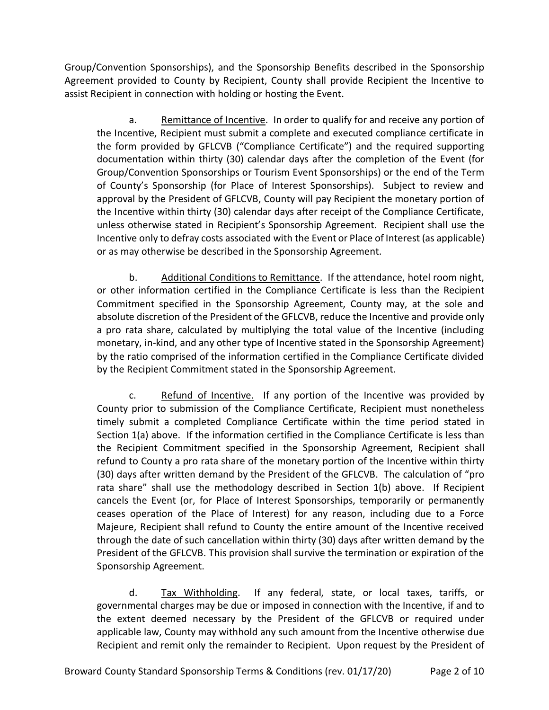Group/Convention Sponsorships), and the Sponsorship Benefits described in the Sponsorship Agreement provided to County by Recipient, County shall provide Recipient the Incentive to assist Recipient in connection with holding or hosting the Event.

a. Remittance of Incentive.In order to qualify for and receive any portion of the Incentive, Recipient must submit a complete and executed compliance certificate in the form provided by GFLCVB ("Compliance Certificate") and the required supporting documentation within thirty (30) calendar days after the completion of the Event (for Group/Convention Sponsorships or Tourism Event Sponsorships) or the end of the Term of County's Sponsorship (for Place of Interest Sponsorships). Subject to review and approval by the President of GFLCVB, County will pay Recipient the monetary portion of the Incentive within thirty (30) calendar days after receipt of the Compliance Certificate, unless otherwise stated in Recipient's Sponsorship Agreement. Recipient shall use the Incentive only to defray costs associated with the Event or Place of Interest (as applicable) or as may otherwise be described in the Sponsorship Agreement.

b. Additional Conditions to Remittance.If the attendance, hotel room night, or other information certified in the Compliance Certificate is less than the Recipient Commitment specified in the Sponsorship Agreement, County may, at the sole and absolute discretion of the President of the GFLCVB, reduce the Incentive and provide only a pro rata share, calculated by multiplying the total value of the Incentive (including monetary, in-kind, and any other type of Incentive stated in the Sponsorship Agreement) by the ratio comprised of the information certified in the Compliance Certificate divided by the Recipient Commitment stated in the Sponsorship Agreement.

c. Refund of Incentive. If any portion of the Incentive was provided by County prior to submission of the Compliance Certificate, Recipient must nonetheless timely submit a completed Compliance Certificate within the time period stated in Section 1(a) above. If the information certified in the Compliance Certificate is less than the Recipient Commitment specified in the Sponsorship Agreement, Recipient shall refund to County a pro rata share of the monetary portion of the Incentive within thirty (30) days after written demand by the President of the GFLCVB. The calculation of "pro rata share" shall use the methodology described in Section 1(b) above. If Recipient cancels the Event (or, for Place of Interest Sponsorships, temporarily or permanently ceases operation of the Place of Interest) for any reason, including due to a Force Majeure, Recipient shall refund to County the entire amount of the Incentive received through the date of such cancellation within thirty (30) days after written demand by the President of the GFLCVB. This provision shall survive the termination or expiration of the Sponsorship Agreement.

d. Tax Withholding. If any federal, state, or local taxes, tariffs, or governmental charges may be due or imposed in connection with the Incentive, if and to the extent deemed necessary by the President of the GFLCVB or required under applicable law, County may withhold any such amount from the Incentive otherwise due Recipient and remit only the remainder to Recipient. Upon request by the President of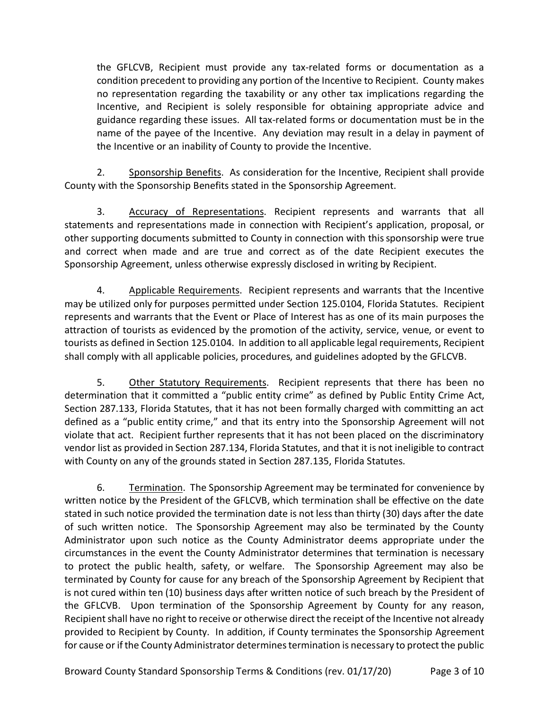the GFLCVB, Recipient must provide any tax-related forms or documentation as a condition precedent to providing any portion of the Incentive to Recipient. County makes no representation regarding the taxability or any other tax implications regarding the Incentive, and Recipient is solely responsible for obtaining appropriate advice and guidance regarding these issues. All tax-related forms or documentation must be in the name of the payee of the Incentive. Any deviation may result in a delay in payment of the Incentive or an inability of County to provide the Incentive.

2. Sponsorship Benefits. As consideration for the Incentive, Recipient shall provide County with the Sponsorship Benefits stated in the Sponsorship Agreement.

3. Accuracy of Representations. Recipient represents and warrants that all statements and representations made in connection with Recipient's application, proposal, or other supporting documents submitted to County in connection with this sponsorship were true and correct when made and are true and correct as of the date Recipient executes the Sponsorship Agreement, unless otherwise expressly disclosed in writing by Recipient.

4. Applicable Requirements. Recipient represents and warrants that the Incentive may be utilized only for purposes permitted under Section 125.0104, Florida Statutes. Recipient represents and warrants that the Event or Place of Interest has as one of its main purposes the attraction of tourists as evidenced by the promotion of the activity, service, venue, or event to tourists as defined in Section 125.0104. In addition to all applicable legal requirements, Recipient shall comply with all applicable policies, procedures, and guidelines adopted by the GFLCVB.

5. Other Statutory Requirements. Recipient represents that there has been no determination that it committed a "public entity crime" as defined by Public Entity Crime Act, Section 287.133, Florida Statutes, that it has not been formally charged with committing an act defined as a "public entity crime," and that its entry into the Sponsorship Agreement will not violate that act. Recipient further represents that it has not been placed on the discriminatory vendor list as provided in Section 287.134, Florida Statutes, and that it is not ineligible to contract with County on any of the grounds stated in Section 287.135, Florida Statutes.

6. Termination.The Sponsorship Agreement may be terminated for convenience by written notice by the President of the GFLCVB, which termination shall be effective on the date stated in such notice provided the termination date is not less than thirty (30) days after the date of such written notice. The Sponsorship Agreement may also be terminated by the County Administrator upon such notice as the County Administrator deems appropriate under the circumstances in the event the County Administrator determines that termination is necessary to protect the public health, safety, or welfare. The Sponsorship Agreement may also be terminated by County for cause for any breach of the Sponsorship Agreement by Recipient that is not cured within ten (10) business days after written notice of such breach by the President of the GFLCVB. Upon termination of the Sponsorship Agreement by County for any reason, Recipient shall have no right to receive or otherwise direct the receipt of the Incentive not already provided to Recipient by County. In addition, if County terminates the Sponsorship Agreement for cause or if the County Administrator determines termination is necessary to protect the public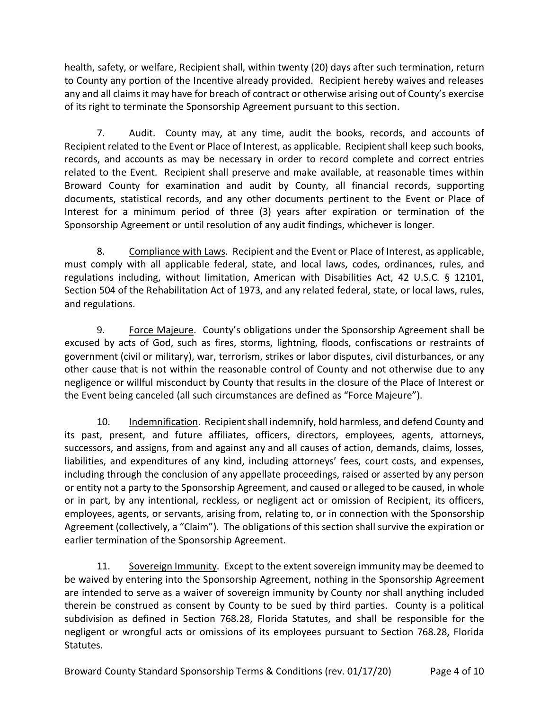health, safety, or welfare, Recipient shall, within twenty (20) days after such termination, return to County any portion of the Incentive already provided. Recipient hereby waives and releases any and all claims it may have for breach of contract or otherwise arising out of County's exercise of its right to terminate the Sponsorship Agreement pursuant to this section.

7. Audit. County may, at any time, audit the books, records, and accounts of Recipient related to the Event or Place of Interest, as applicable. Recipient shall keep such books, records, and accounts as may be necessary in order to record complete and correct entries related to the Event. Recipient shall preserve and make available, at reasonable times within Broward County for examination and audit by County, all financial records, supporting documents, statistical records, and any other documents pertinent to the Event or Place of Interest for a minimum period of three (3) years after expiration or termination of the Sponsorship Agreement or until resolution of any audit findings, whichever is longer.

8. Compliance with Laws.Recipient and the Event or Place of Interest, as applicable, must comply with all applicable federal, state, and local laws, codes, ordinances, rules, and regulations including, without limitation, American with Disabilities Act, 42 U.S.C. § 12101, Section 504 of the Rehabilitation Act of 1973, and any related federal, state, or local laws, rules, and regulations.

9. Force Majeure. County's obligations under the Sponsorship Agreement shall be excused by acts of God, such as fires, storms, lightning, floods, confiscations or restraints of government (civil or military), war, terrorism, strikes or labor disputes, civil disturbances, or any other cause that is not within the reasonable control of County and not otherwise due to any negligence or willful misconduct by County that results in the closure of the Place of Interest or the Event being canceled (all such circumstances are defined as "Force Majeure").

10. Indemnification.Recipientshall indemnify, hold harmless, and defend County and its past, present, and future affiliates, officers, directors, employees, agents, attorneys, successors, and assigns, from and against any and all causes of action, demands, claims, losses, liabilities, and expenditures of any kind, including attorneys' fees, court costs, and expenses, including through the conclusion of any appellate proceedings, raised or asserted by any person or entity not a party to the Sponsorship Agreement, and caused or alleged to be caused, in whole or in part, by any intentional, reckless, or negligent act or omission of Recipient, its officers, employees, agents, or servants, arising from, relating to, or in connection with the Sponsorship Agreement (collectively, a "Claim"). The obligations of this section shall survive the expiration or earlier termination of the Sponsorship Agreement.

11. Sovereign Immunity. Except to the extent sovereign immunity may be deemed to be waived by entering into the Sponsorship Agreement, nothing in the Sponsorship Agreement are intended to serve as a waiver of sovereign immunity by County nor shall anything included therein be construed as consent by County to be sued by third parties. County is a political subdivision as defined in Section 768.28, Florida Statutes, and shall be responsible for the negligent or wrongful acts or omissions of its employees pursuant to Section 768.28, Florida Statutes.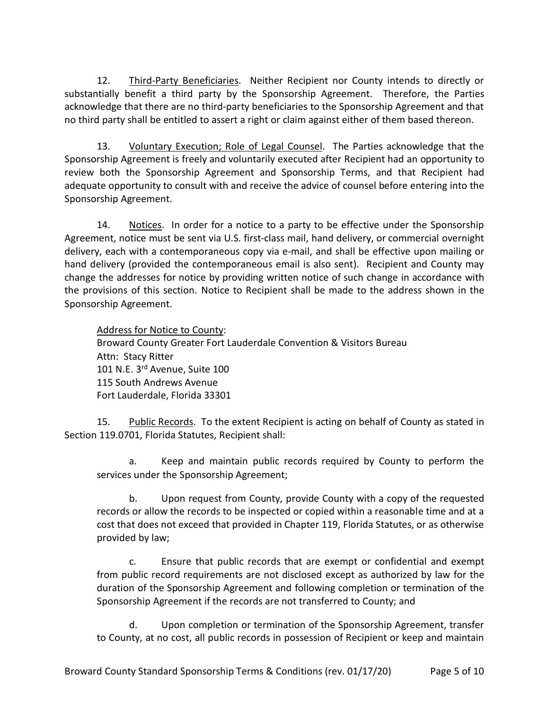12. Third-Party Beneficiaries. Neither Recipient nor County intends to directly or substantially benefit a third party by the Sponsorship Agreement. Therefore, the Parties acknowledge that there are no third-party beneficiaries to the Sponsorship Agreement and that no third party shall be entitled to assert a right or claim against either of them based thereon.

13. Voluntary Execution; Role of Legal Counsel. The Parties acknowledge that the Sponsorship Agreement is freely and voluntarily executed after Recipient had an opportunity to review both the Sponsorship Agreement and Sponsorship Terms, and that Recipient had adequate opportunity to consult with and receive the advice of counsel before entering into the Sponsorship Agreement.

14. Notices. In order for a notice to a party to be effective under the Sponsorship Agreement, notice must be sent via U.S. first-class mail, hand delivery, or commercial overnight delivery, each with a contemporaneous copy via e-mail, and shall be effective upon mailing or hand delivery (provided the contemporaneous email is also sent). Recipient and County may change the addresses for notice by providing written notice of such change in accordance with the provisions of this section. Notice to Recipient shall be made to the address shown in the Sponsorship Agreement.

Address for Notice to County: Broward County Greater Fort Lauderdale Convention & Visitors Bureau Attn: Stacy Ritter 101 N.E. 3rd Avenue, Suite 100 115 South Andrews Avenue Fort Lauderdale, Florida 33301

15. Public Records. To the extent Recipient is acting on behalf of County as stated in Section 119.0701, Florida Statutes, Recipient shall:

a. Keep and maintain public records required by County to perform the services under the Sponsorship Agreement;

b. Upon request from County, provide County with a copy of the requested records or allow the records to be inspected or copied within a reasonable time and at a cost that does not exceed that provided in Chapter 119, Florida Statutes, or as otherwise provided by law;

c. Ensure that public records that are exempt or confidential and exempt from public record requirements are not disclosed except as authorized by law for the duration of the Sponsorship Agreement and following completion or termination of the Sponsorship Agreement if the records are not transferred to County; and

d. Upon completion or termination of the Sponsorship Agreement, transfer to County, at no cost, all public records in possession of Recipient or keep and maintain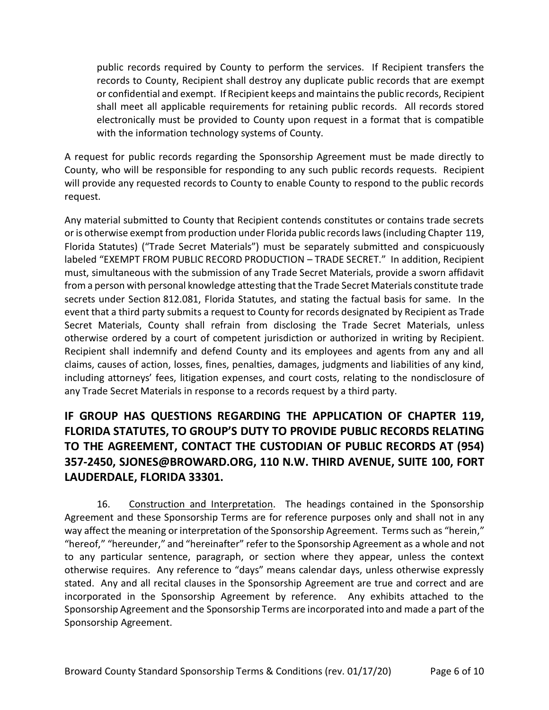public records required by County to perform the services. If Recipient transfers the records to County, Recipient shall destroy any duplicate public records that are exempt or confidential and exempt. If Recipient keeps and maintains the public records, Recipient shall meet all applicable requirements for retaining public records. All records stored electronically must be provided to County upon request in a format that is compatible with the information technology systems of County.

A request for public records regarding the Sponsorship Agreement must be made directly to County, who will be responsible for responding to any such public records requests. Recipient will provide any requested records to County to enable County to respond to the public records request.

Any material submitted to County that Recipient contends constitutes or contains trade secrets or is otherwise exempt from production under Florida public records laws (including Chapter 119, Florida Statutes) ("Trade Secret Materials") must be separately submitted and conspicuously labeled "EXEMPT FROM PUBLIC RECORD PRODUCTION – TRADE SECRET." In addition, Recipient must, simultaneous with the submission of any Trade Secret Materials, provide a sworn affidavit from a person with personal knowledge attesting that the Trade Secret Materials constitute trade secrets under Section 812.081, Florida Statutes, and stating the factual basis for same. In the event that a third party submits a request to County for records designated by Recipient as Trade Secret Materials, County shall refrain from disclosing the Trade Secret Materials, unless otherwise ordered by a court of competent jurisdiction or authorized in writing by Recipient. Recipient shall indemnify and defend County and its employees and agents from any and all claims, causes of action, losses, fines, penalties, damages, judgments and liabilities of any kind, including attorneys' fees, litigation expenses, and court costs, relating to the nondisclosure of any Trade Secret Materials in response to a records request by a third party.

# **IF GROUP HAS QUESTIONS REGARDING THE APPLICATION OF CHAPTER 119, FLORIDA STATUTES, TO GROUP'S DUTY TO PROVIDE PUBLIC RECORDS RELATING TO THE AGREEMENT, CONTACT THE CUSTODIAN OF PUBLIC RECORDS AT (954) 357-2450, SJONES@BROWARD.ORG, 110 N.W. THIRD AVENUE, SUITE 100, FORT LAUDERDALE, FLORIDA 33301.**

16. Construction and Interpretation. The headings contained in the Sponsorship Agreement and these Sponsorship Terms are for reference purposes only and shall not in any way affect the meaning or interpretation of the Sponsorship Agreement. Terms such as "herein," "hereof," "hereunder," and "hereinafter" refer to the Sponsorship Agreement as a whole and not to any particular sentence, paragraph, or section where they appear, unless the context otherwise requires. Any reference to "days" means calendar days, unless otherwise expressly stated. Any and all recital clauses in the Sponsorship Agreement are true and correct and are incorporated in the Sponsorship Agreement by reference. Any exhibits attached to the Sponsorship Agreement and the Sponsorship Terms are incorporated into and made a part of the Sponsorship Agreement.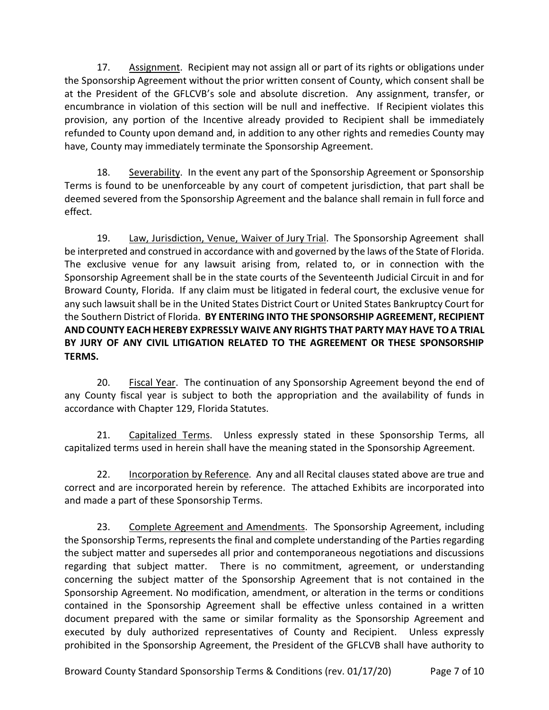17. Assignment.Recipient may not assign all or part of its rights or obligations under the Sponsorship Agreement without the prior written consent of County, which consent shall be at the President of the GFLCVB's sole and absolute discretion. Any assignment, transfer, or encumbrance in violation of this section will be null and ineffective. If Recipient violates this provision, any portion of the Incentive already provided to Recipient shall be immediately refunded to County upon demand and, in addition to any other rights and remedies County may have, County may immediately terminate the Sponsorship Agreement.

18. Severability. In the event any part of the Sponsorship Agreement or Sponsorship Terms is found to be unenforceable by any court of competent jurisdiction, that part shall be deemed severed from the Sponsorship Agreement and the balance shall remain in full force and effect.

19. Law, Jurisdiction, Venue, Waiver of Jury Trial. The Sponsorship Agreement shall be interpreted and construed in accordance with and governed by the laws of the State of Florida. The exclusive venue for any lawsuit arising from, related to, or in connection with the Sponsorship Agreement shall be in the state courts of the Seventeenth Judicial Circuit in and for Broward County, Florida. If any claim must be litigated in federal court, the exclusive venue for any such lawsuit shall be in the United States District Court or United States Bankruptcy Court for the Southern District of Florida. **BY ENTERING INTO THE SPONSORSHIP AGREEMENT, RECIPIENT AND COUNTY EACH HEREBY EXPRESSLY WAIVE ANY RIGHTS THAT PARTY MAY HAVE TO A TRIAL BY JURY OF ANY CIVIL LITIGATION RELATED TO THE AGREEMENT OR THESE SPONSORSHIP TERMS.** 

20. Fiscal Year. The continuation of any Sponsorship Agreement beyond the end of any County fiscal year is subject to both the appropriation and the availability of funds in accordance with Chapter 129, Florida Statutes.

21. Capitalized Terms. Unless expressly stated in these Sponsorship Terms, all capitalized terms used in herein shall have the meaning stated in the Sponsorship Agreement.

22. Incorporation by Reference. Any and all Recital clauses stated above are true and correct and are incorporated herein by reference. The attached Exhibits are incorporated into and made a part of these Sponsorship Terms.

23. Complete Agreement and Amendments. The Sponsorship Agreement, including the Sponsorship Terms, represents the final and complete understanding of the Parties regarding the subject matter and supersedes all prior and contemporaneous negotiations and discussions regarding that subject matter. There is no commitment, agreement, or understanding concerning the subject matter of the Sponsorship Agreement that is not contained in the Sponsorship Agreement. No modification, amendment, or alteration in the terms or conditions contained in the Sponsorship Agreement shall be effective unless contained in a written document prepared with the same or similar formality as the Sponsorship Agreement and executed by duly authorized representatives of County and Recipient. Unless expressly prohibited in the Sponsorship Agreement, the President of the GFLCVB shall have authority to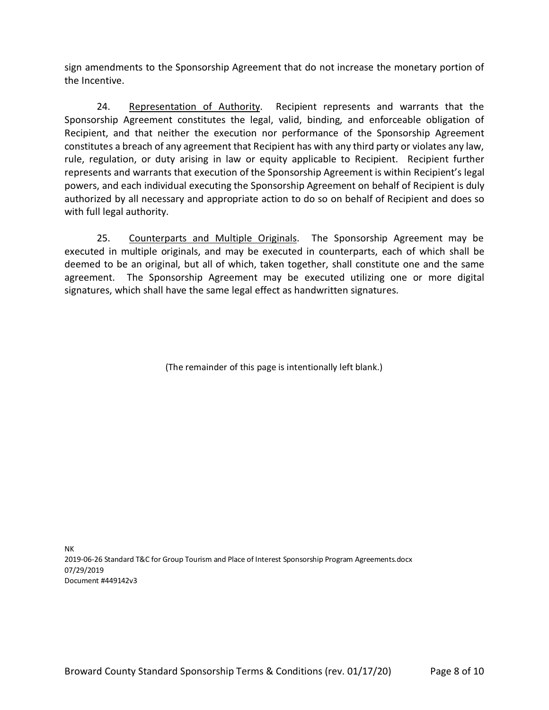sign amendments to the Sponsorship Agreement that do not increase the monetary portion of the Incentive.

24. Representation of Authority. Recipient represents and warrants that the Sponsorship Agreement constitutes the legal, valid, binding, and enforceable obligation of Recipient, and that neither the execution nor performance of the Sponsorship Agreement constitutes a breach of any agreement that Recipient has with any third party or violates any law, rule, regulation, or duty arising in law or equity applicable to Recipient. Recipient further represents and warrants that execution of the Sponsorship Agreement is within Recipient's legal powers, and each individual executing the Sponsorship Agreement on behalf of Recipient is duly authorized by all necessary and appropriate action to do so on behalf of Recipient and does so with full legal authority.

25. Counterparts and Multiple Originals. The Sponsorship Agreement may be executed in multiple originals, and may be executed in counterparts, each of which shall be deemed to be an original, but all of which, taken together, shall constitute one and the same agreement. The Sponsorship Agreement may be executed utilizing one or more digital signatures, which shall have the same legal effect as handwritten signatures.

(The remainder of this page is intentionally left blank.)

NK 2019-06-26 Standard T&C for Group Tourism and Place of Interest Sponsorship Program Agreements.docx 07/29/2019 Document #449142v3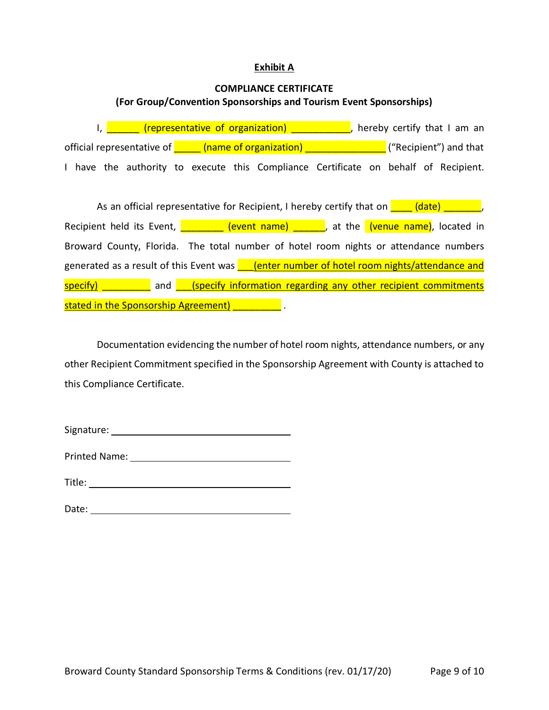#### **Exhibit A**

#### **COMPLIANCE CERTIFICATE**

## **(For Group/Convention Sponsorships and Tourism Event Sponsorships)**

I,  $\frac{1}{\sqrt{2}}$  (representative of organization)  $\frac{1}{\sqrt{2}}$ , hereby certify that I am an official representative of  $\frac{1}{\sqrt{2}}$  (name of organization)  $\frac{1}{\sqrt{2}}$  ("Recipient") and that I have the authority to execute this Compliance Certificate on behalf of Recipient.

As an official representative for Recipient, I hereby certify that on  $\overline{a}$  (date)  $\overline{a}$ , Recipient held its Event,  $\frac{Q}{Q}$  (event name)  $\frac{Q}{Q}$ , at the (venue name), located in Broward County, Florida. The total number of hotel room nights or attendance numbers generated as a result of this Event was **CO** (enter number of hotel room nights/attendance and  $specify$  and  $specify$  information regarding any other recipient commitments stated in the Sponsorship Agreement) **Example** 2014

Documentation evidencing the number of hotel room nights, attendance numbers, or any other Recipient Commitment specified in the Sponsorship Agreement with County is attached to this Compliance Certificate.

Signature: The state of the state of the state of the state of the state of the state of the state of the state of the state of the state of the state of the state of the state of the state of the state of the state of the

Printed Name:

Title:

Date: <u>www.communications.communications.com</u>